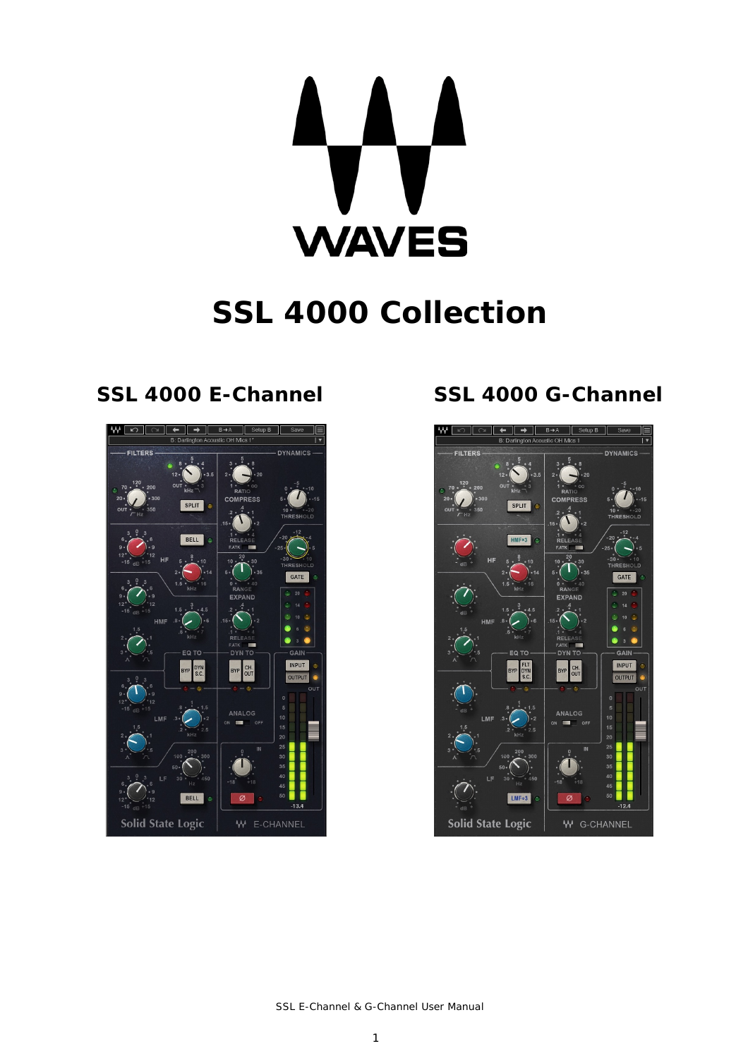**WAVES** 

# **SSL 4000 Collection**



## **SSL 4000 E-Channel SSL 4000 G-Channel**

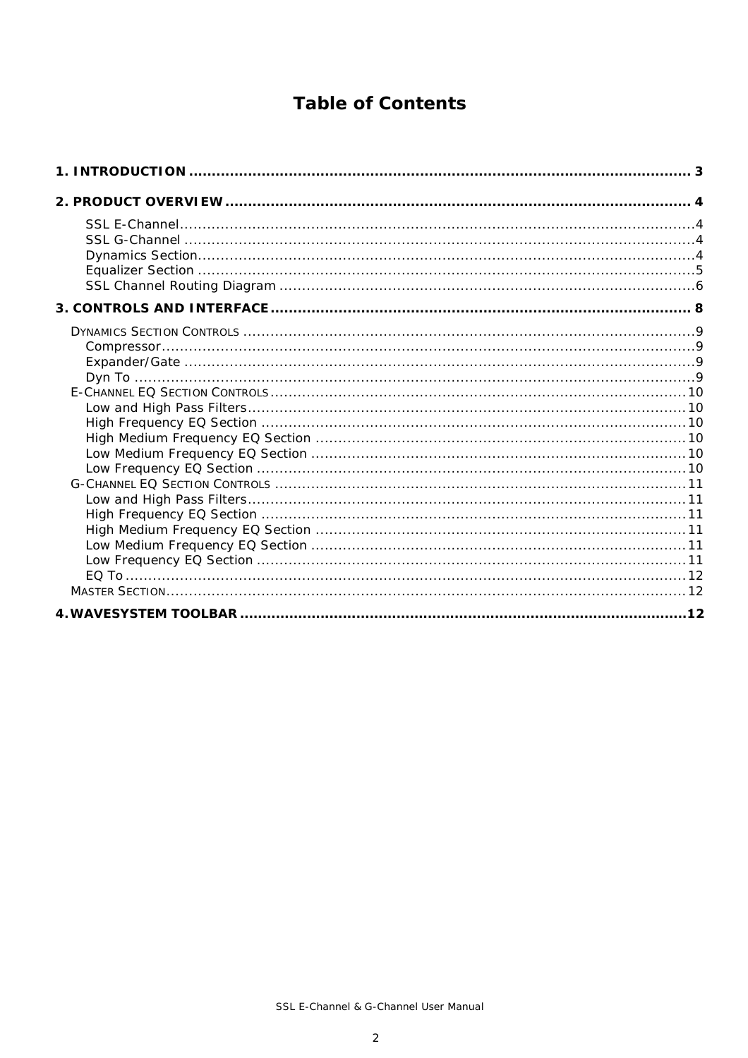### **Table of Contents**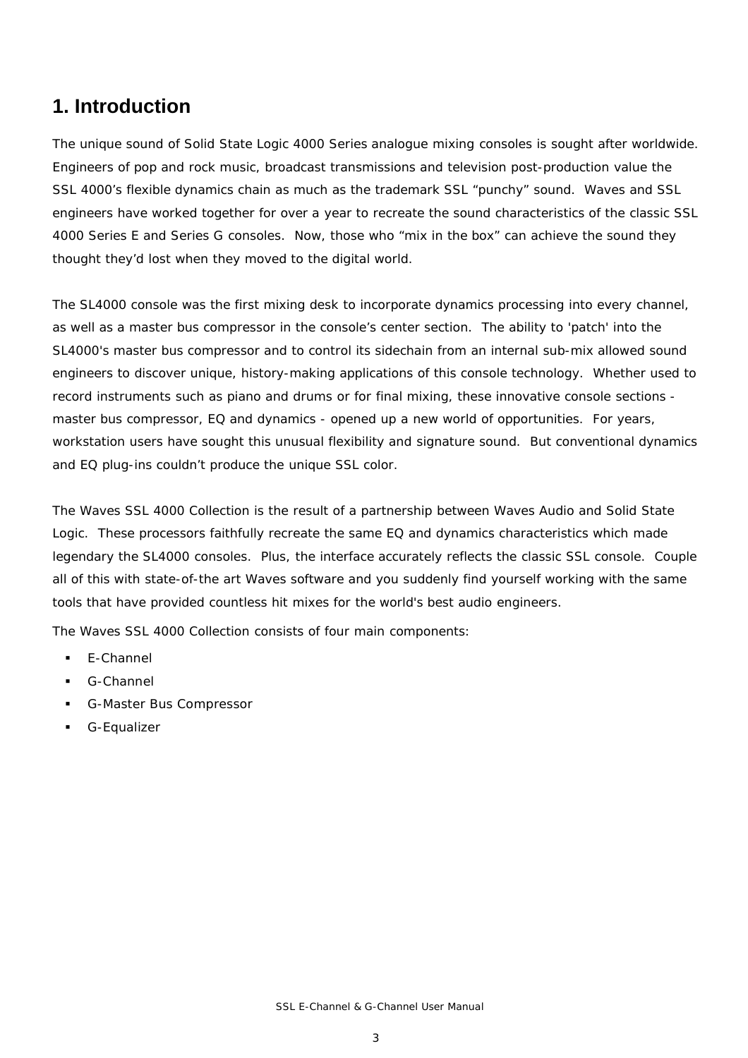### **1. Introduction**

The unique sound of Solid State Logic 4000 Series analogue mixing consoles is sought after worldwide. Engineers of pop and rock music, broadcast transmissions and television post-production value the SSL 4000's flexible dynamics chain as much as the trademark SSL "punchy" sound. Waves and SSL engineers have worked together for over a year to recreate the sound characteristics of the classic SSL 4000 Series E and Series G consoles. Now, those who "mix in the box" can achieve the sound they thought they'd lost when they moved to the digital world.

The SL4000 console was the first mixing desk to incorporate dynamics processing into every channel, as well as a master bus compressor in the console's center section. The ability to 'patch' into the SL4000's master bus compressor and to control its sidechain from an internal sub-mix allowed sound engineers to discover unique, history-making applications of this console technology. Whether used to record instruments such as piano and drums or for final mixing, these innovative console sections master bus compressor, EQ and dynamics - opened up a new world of opportunities. For years, workstation users have sought this unusual flexibility and signature sound. But conventional dynamics and EQ plug-ins couldn't produce the unique SSL color.

The Waves SSL 4000 Collection is the result of a partnership between Waves Audio and Solid State Logic. These processors faithfully recreate the same EQ and dynamics characteristics which made legendary the SL4000 consoles. Plus, the interface accurately reflects the classic SSL console. Couple all of this with state-of-the art Waves software and you suddenly find yourself working with the same tools that have provided countless hit mixes for the world's best audio engineers.

The Waves SSL 4000 Collection consists of four main components:

- **E-Channel**
- G-Channel
- G-Master Bus Compressor
- **G-Equalizer**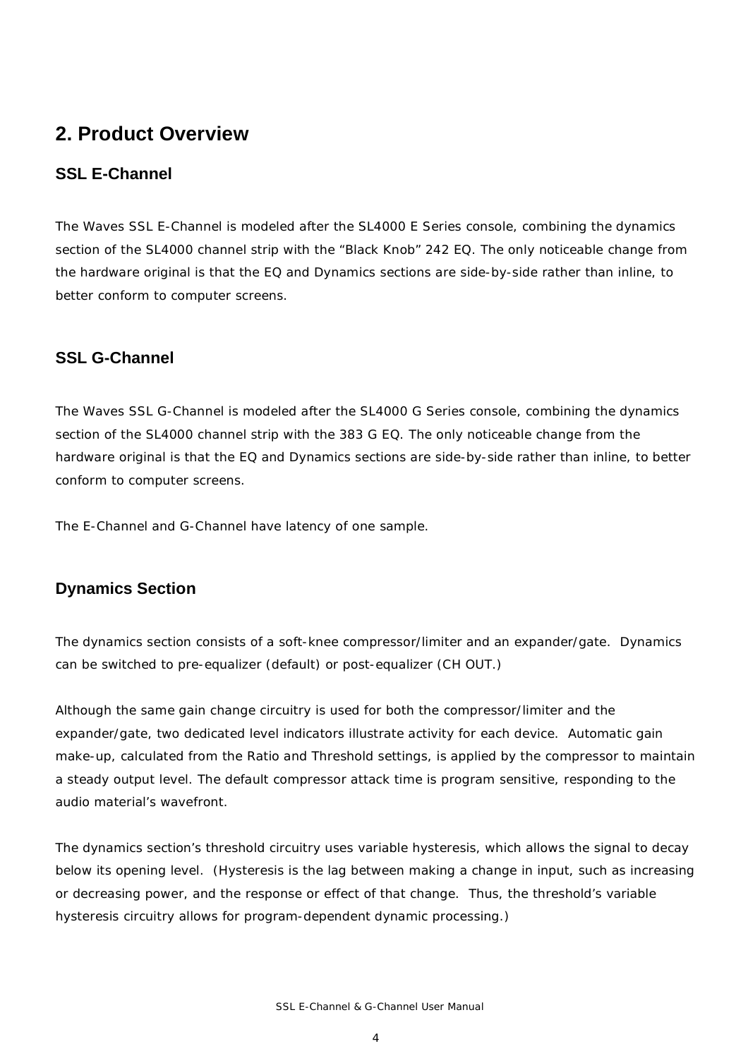### **2. Product Overview**

### **SSL E-Channel**

The Waves SSL E-Channel is modeled after the SL4000 E Series console, combining the dynamics section of the SL4000 channel strip with the "Black Knob" 242 EQ. The only noticeable change from the hardware original is that the EQ and Dynamics sections are side-by-side rather than inline, to better conform to computer screens.

#### **SSL G-Channel**

The Waves SSL G-Channel is modeled after the SL4000 G Series console, combining the dynamics section of the SL4000 channel strip with the 383 G EQ. The only noticeable change from the hardware original is that the EQ and Dynamics sections are side-by-side rather than inline, to better conform to computer screens.

The E-Channel and G-Channel have latency of one sample.

#### **Dynamics Section**

The dynamics section consists of a soft-knee compressor/limiter and an expander/gate. Dynamics can be switched to pre-equalizer (default) or post-equalizer (CH OUT.)

Although the same gain change circuitry is used for both the compressor/limiter and the expander/gate, two dedicated level indicators illustrate activity for each device. Automatic gain make-up, calculated from the Ratio and Threshold settings, is applied by the compressor to maintain a steady output level. The default compressor attack time is program sensitive, responding to the audio material's wavefront.

The dynamics section's threshold circuitry uses variable hysteresis, which allows the signal to decay below its opening level. (Hysteresis is the lag between making a change in input, such as increasing or decreasing power, and the response or effect of that change. Thus, the threshold's variable hysteresis circuitry allows for program-dependent dynamic processing.)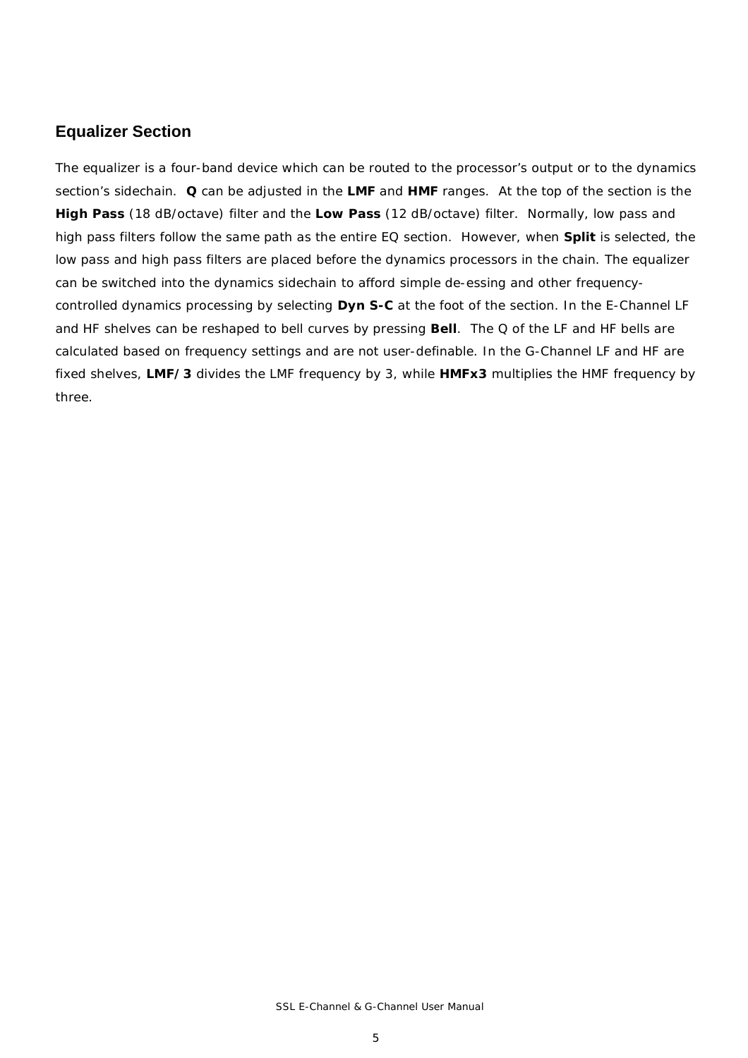#### **Equalizer Section**

The equalizer is a four-band device which can be routed to the processor's output or to the dynamics section's sidechain. **Q** can be adjusted in the **LMF** and **HMF** ranges. At the top of the section is the **High Pass** (18 dB/octave) filter and the **Low Pass** (12 dB/octave) filter. Normally, low pass and high pass filters follow the same path as the entire EQ section. However, when **Split** is selected, the low pass and high pass filters are placed before the dynamics processors in the chain. The equalizer can be switched into the dynamics sidechain to afford simple de-essing and other frequencycontrolled dynamics processing by selecting **Dyn S-C** at the foot of the section. In the E-Channel LF and HF shelves can be reshaped to bell curves by pressing **Bell**. The Q of the LF and HF bells are calculated based on frequency settings and are not user-definable. In the G-Channel LF and HF are fixed shelves, **LMF/3** divides the LMF frequency by 3, while **HMFx3** multiplies the HMF frequency by three.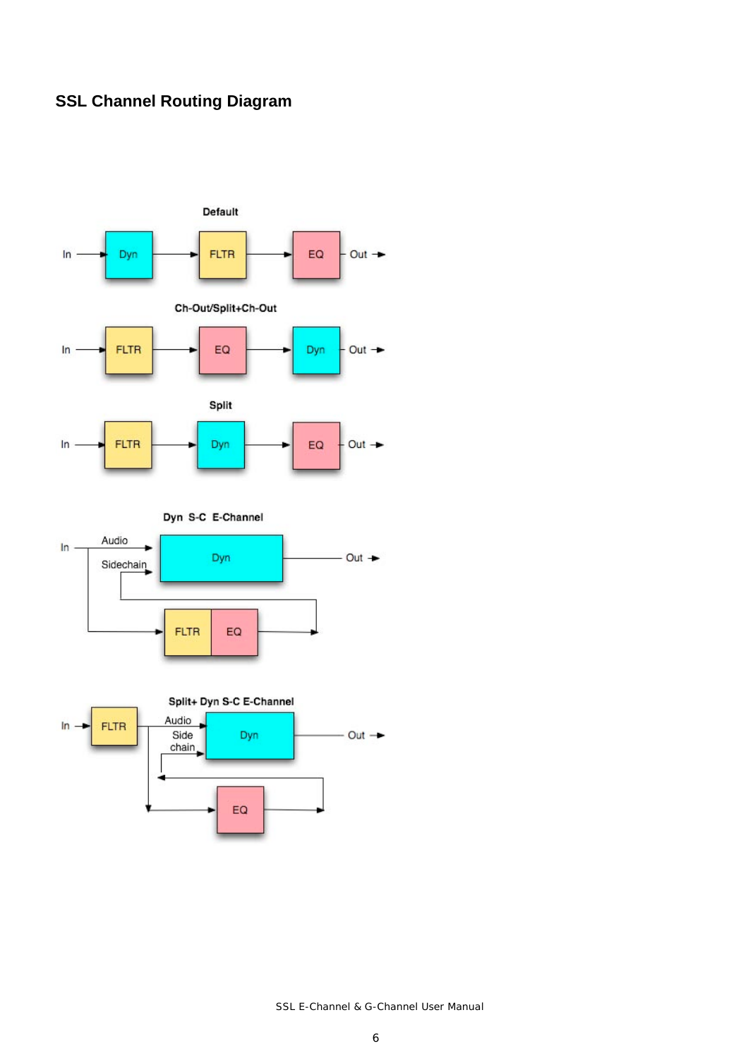### **SSL Channel Routing Diagram**



Dyn S-C E-Channel





SSL E-Channel & G-Channel User Manual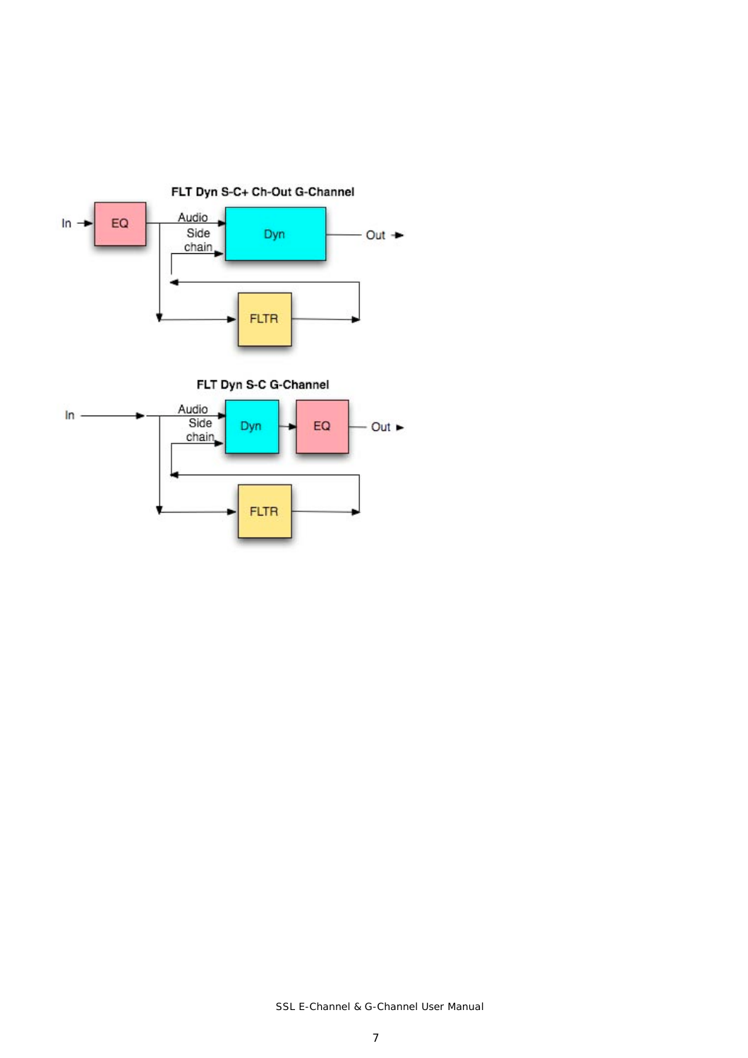



SSL E-Channel & G-Channel User Manual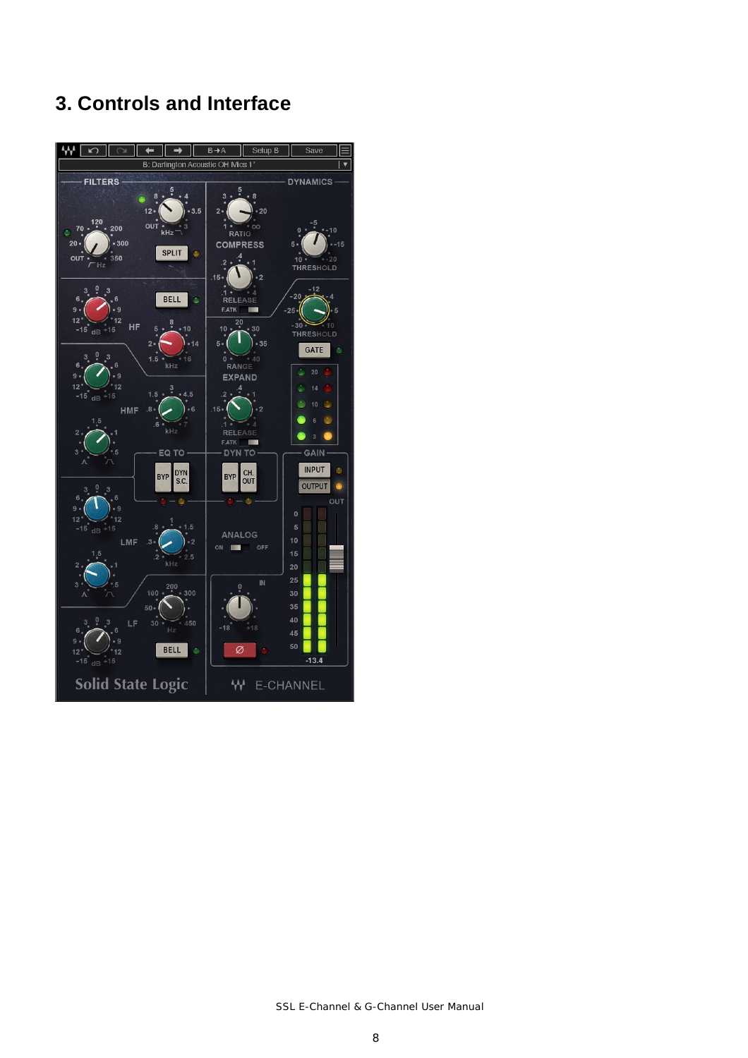## **3. Controls and Interface**

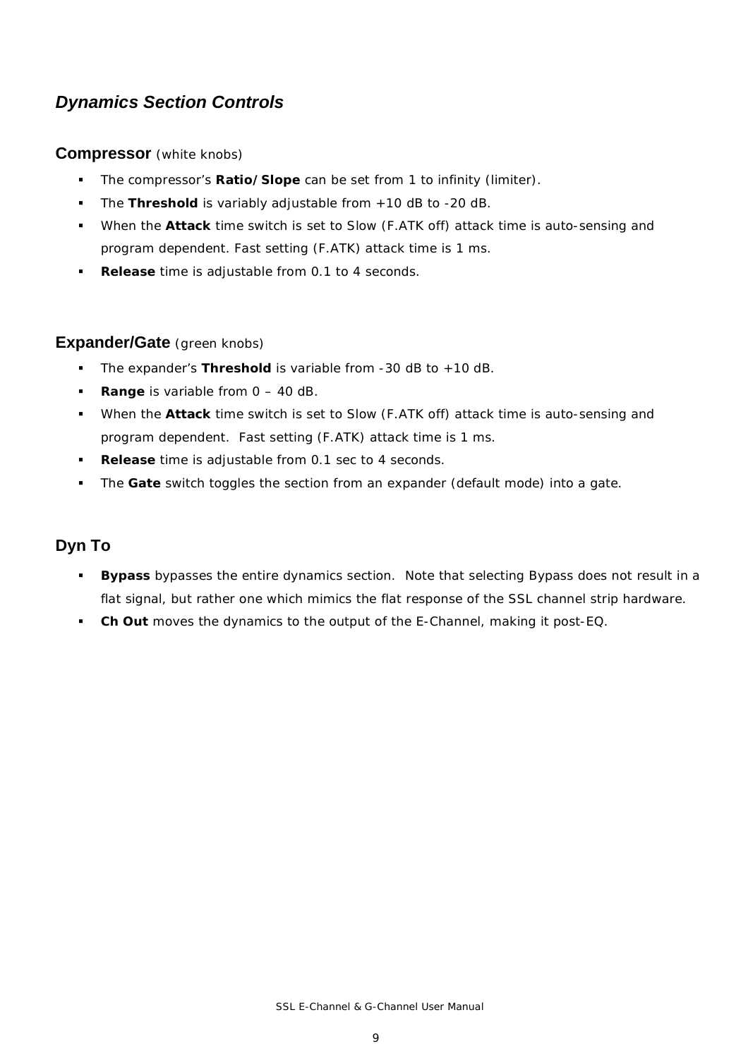### *Dynamics Section Controls*

#### **Compressor** (white knobs)

- The compressor's **Ratio/Slope** can be set from 1 to infinity (limiter).
- The **Threshold** is variably adjustable from +10 dB to -20 dB.
- When the **Attack** time switch is set to Slow (F.ATK off) attack time is auto-sensing and program dependent. Fast setting (F.ATK) attack time is 1 ms.
- **Release** time is adjustable from 0.1 to 4 seconds.

#### **Expander/Gate** (green knobs)

- The expander's **Threshold** is variable from -30 dB to +10 dB.
- **Range** is variable from  $0 40$  dB.
- When the **Attack** time switch is set to Slow (F.ATK off) attack time is auto-sensing and program dependent. Fast setting (F.ATK) attack time is 1 ms.
- **Release** time is adjustable from 0.1 sec to 4 seconds.
- The **Gate** switch toggles the section from an expander (default mode) into a gate.

#### **Dyn To**

- **Bypass** bypasses the entire dynamics section. Note that selecting Bypass does not result in a flat signal, but rather one which mimics the flat response of the SSL channel strip hardware.
- **Ch Out** moves the dynamics to the output of the E-Channel, making it post-EQ.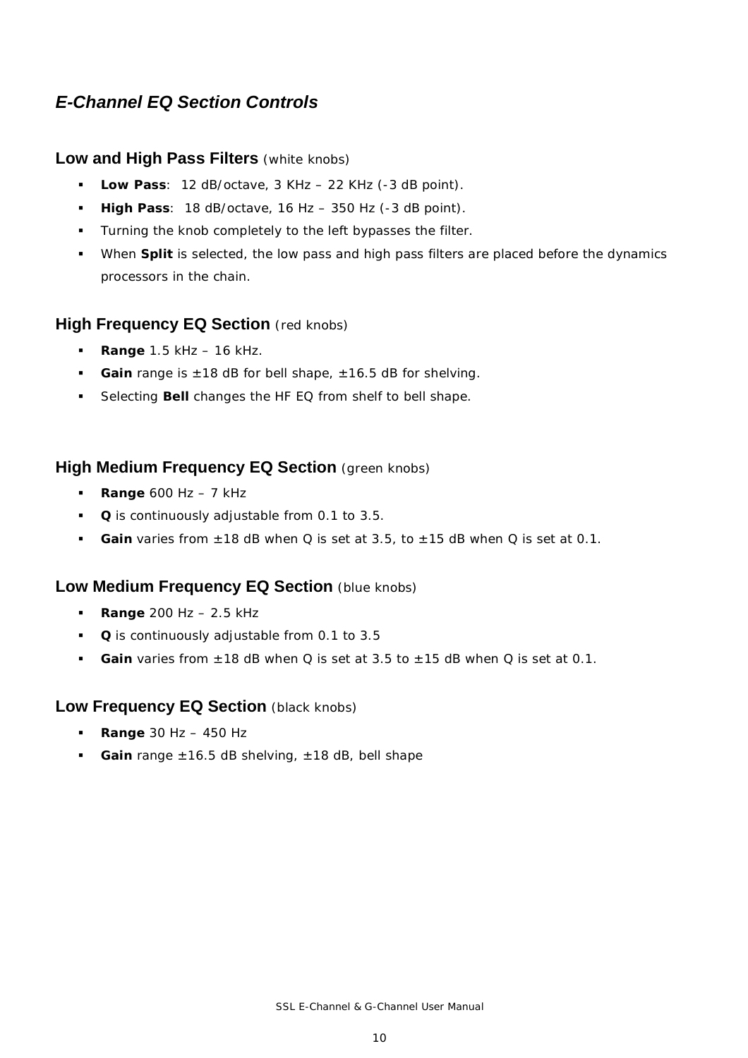### *E-Channel EQ Section Controls*

#### **Low and High Pass Filters** (white knobs)

- **Low Pass**: 12 dB/octave, 3 KHz 22 KHz (-3 dB point).
- **High Pass**: 18 dB/octave, 16 Hz 350 Hz (-3 dB point).
- **Turning the knob completely to the left bypasses the filter.**
- When **Split** is selected, the low pass and high pass filters are placed before the dynamics processors in the chain.

#### **High Frequency EQ Section** (red knobs)

- **Range** 1.5 kHz 16 kHz.
- **Gain** range is ±18 dB for bell shape, ±16.5 dB for shelving.
- Selecting **Bell** changes the HF EQ from shelf to bell shape.

#### **High Medium Frequency EQ Section** (green knobs)

- **Range** 600 Hz 7 kHz
- **Q** is continuously adjustable from 0.1 to 3.5.
- **Gain varies from**  $\pm$  **18 dB when Q is set at 3.5, to**  $\pm$  **15 dB when Q is set at 0.1.**

#### **Low Medium Frequency EQ Section (blue knobs)**

- **Range** 200 Hz 2.5 kHz
- **Q** is continuously adjustable from 0.1 to 3.5
- **Gain** varies from ±18 dB when Q is set at 3.5 to ±15 dB when Q is set at 0.1.

#### **Low Frequency EQ Section** (black knobs)

- **Range** 30 Hz 450 Hz
- **Gain** range ±16.5 dB shelving, ±18 dB, bell shape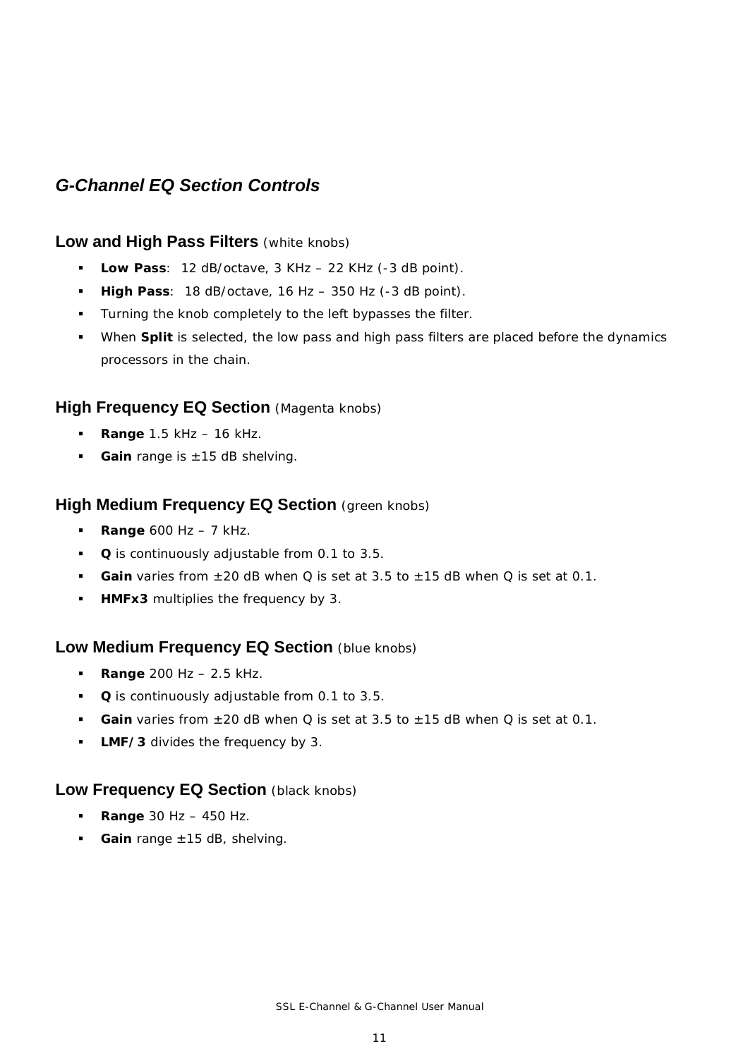### *G-Channel EQ Section Controls*

#### **Low and High Pass Filters** (white knobs)

- **Low Pass**: 12 dB/octave, 3 KHz 22 KHz (-3 dB point).
- **High Pass**: 18 dB/octave, 16 Hz 350 Hz (-3 dB point).
- **Turning the knob completely to the left bypasses the filter.**
- When **Split** is selected, the low pass and high pass filters are placed before the dynamics processors in the chain.

#### **High Frequency EQ Section** (Magenta knobs)

- **Range** 1.5 kHz 16 kHz.
- Gain range is ±15 dB shelving.

#### **High Medium Frequency EQ Section** (green knobs)

- **Range** 600 Hz 7 kHz.
- **Q** is continuously adjustable from 0.1 to 3.5.
- **Gain** varies from ±20 dB when Q is set at 3.5 to ±15 dB when Q is set at 0.1.
- **HMFx3** multiplies the frequency by 3.

#### **Low Medium Frequency EQ Section (blue knobs)**

- **Range** 200 Hz 2.5 kHz.
- **Q** is continuously adjustable from 0.1 to 3.5.
- **Gain varies from**  $\pm 20$  **dB when Q is set at 3.5 to**  $\pm 15$  **dB when Q is set at 0.1.**
- **LMF/3** divides the frequency by 3.

#### **Low Frequency EQ Section** (black knobs)

- **Range** 30 Hz 450 Hz.
- **Gain** range ±15 dB, shelving.